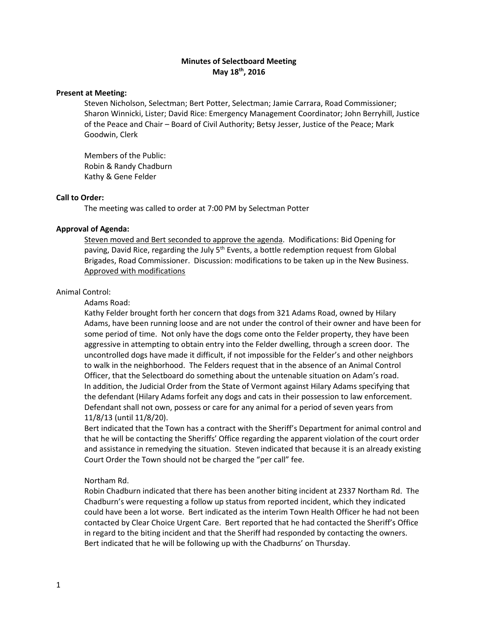# **Minutes of Selectboard Meeting May 18th, 2016**

#### **Present at Meeting:**

Steven Nicholson, Selectman; Bert Potter, Selectman; Jamie Carrara, Road Commissioner; Sharon Winnicki, Lister; David Rice: Emergency Management Coordinator; John Berryhill, Justice of the Peace and Chair – Board of Civil Authority; Betsy Jesser, Justice of the Peace; Mark Goodwin, Clerk

Members of the Public: Robin & Randy Chadburn Kathy & Gene Felder

### **Call to Order:**

The meeting was called to order at 7:00 PM by Selectman Potter

#### **Approval of Agenda:**

Steven moved and Bert seconded to approve the agenda. Modifications: Bid Opening for paving, David Rice, regarding the July 5<sup>th</sup> Events, a bottle redemption request from Global Brigades, Road Commissioner. Discussion: modifications to be taken up in the New Business. Approved with modifications

## Animal Control:

Adams Road:

Kathy Felder brought forth her concern that dogs from 321 Adams Road, owned by Hilary Adams, have been running loose and are not under the control of their owner and have been for some period of time. Not only have the dogs come onto the Felder property, they have been aggressive in attempting to obtain entry into the Felder dwelling, through a screen door. The uncontrolled dogs have made it difficult, if not impossible for the Felder's and other neighbors to walk in the neighborhood. The Felders request that in the absence of an Animal Control Officer, that the Selectboard do something about the untenable situation on Adam's road. In addition, the Judicial Order from the State of Vermont against Hilary Adams specifying that the defendant (Hilary Adams forfeit any dogs and cats in their possession to law enforcement. Defendant shall not own, possess or care for any animal for a period of seven years from 11/8/13 (until 11/8/20).

Bert indicated that the Town has a contract with the Sheriff's Department for animal control and that he will be contacting the Sheriffs' Office regarding the apparent violation of the court order and assistance in remedying the situation. Steven indicated that because it is an already existing Court Order the Town should not be charged the "per call" fee.

## Northam Rd.

Robin Chadburn indicated that there has been another biting incident at 2337 Northam Rd. The Chadburn's were requesting a follow up status from reported incident, which they indicated could have been a lot worse. Bert indicated as the interim Town Health Officer he had not been contacted by Clear Choice Urgent Care. Bert reported that he had contacted the Sheriff's Office in regard to the biting incident and that the Sheriff had responded by contacting the owners. Bert indicated that he will be following up with the Chadburns' on Thursday.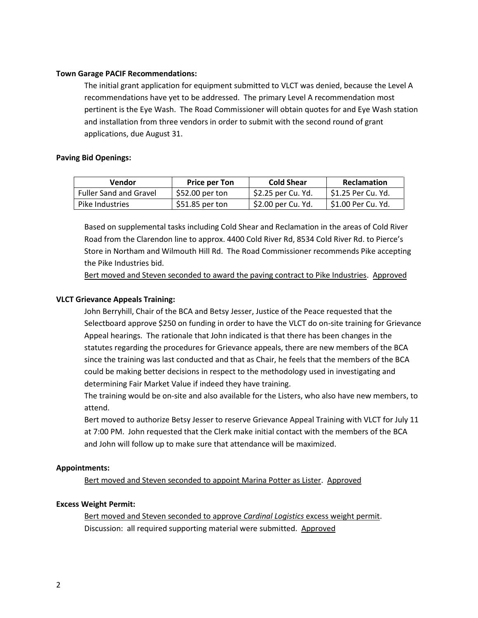## **Town Garage PACIF Recommendations:**

The initial grant application for equipment submitted to VLCT was denied, because the Level A recommendations have yet to be addressed. The primary Level A recommendation most pertinent is the Eye Wash. The Road Commissioner will obtain quotes for and Eye Wash station and installation from three vendors in order to submit with the second round of grant applications, due August 31.

## **Paving Bid Openings:**

| Vendor                        | <b>Price per Ton</b> | <b>Cold Shear</b>  | <b>Reclamation</b>  |
|-------------------------------|----------------------|--------------------|---------------------|
| <b>Fuller Sand and Gravel</b> | \$52.00 per ton      | \$2.25 per Cu. Yd. | ∣ S1.25 Per Cu. Yd. |
| Pike Industries               | $$51.85$ per ton     | \$2.00 per Cu. Yd. | S1.00 Per Cu. Yd.   |

Based on supplemental tasks including Cold Shear and Reclamation in the areas of Cold River Road from the Clarendon line to approx. 4400 Cold River Rd, 8534 Cold River Rd. to Pierce's Store in Northam and Wilmouth Hill Rd. The Road Commissioner recommends Pike accepting the Pike Industries bid.

Bert moved and Steven seconded to award the paving contract to Pike Industries. Approved

# **VLCT Grievance Appeals Training:**

John Berryhill, Chair of the BCA and Betsy Jesser, Justice of the Peace requested that the Selectboard approve \$250 on funding in order to have the VLCT do on-site training for Grievance Appeal hearings. The rationale that John indicated is that there has been changes in the statutes regarding the procedures for Grievance appeals, there are new members of the BCA since the training was last conducted and that as Chair, he feels that the members of the BCA could be making better decisions in respect to the methodology used in investigating and determining Fair Market Value if indeed they have training.

The training would be on-site and also available for the Listers, who also have new members, to attend.

Bert moved to authorize Betsy Jesser to reserve Grievance Appeal Training with VLCT for July 11 at 7:00 PM. John requested that the Clerk make initial contact with the members of the BCA and John will follow up to make sure that attendance will be maximized.

# **Appointments:**

Bert moved and Steven seconded to appoint Marina Potter as Lister. Approved

# **Excess Weight Permit:**

Bert moved and Steven seconded to approve *Cardinal Logistics* excess weight permit. Discussion: all required supporting material were submitted. Approved